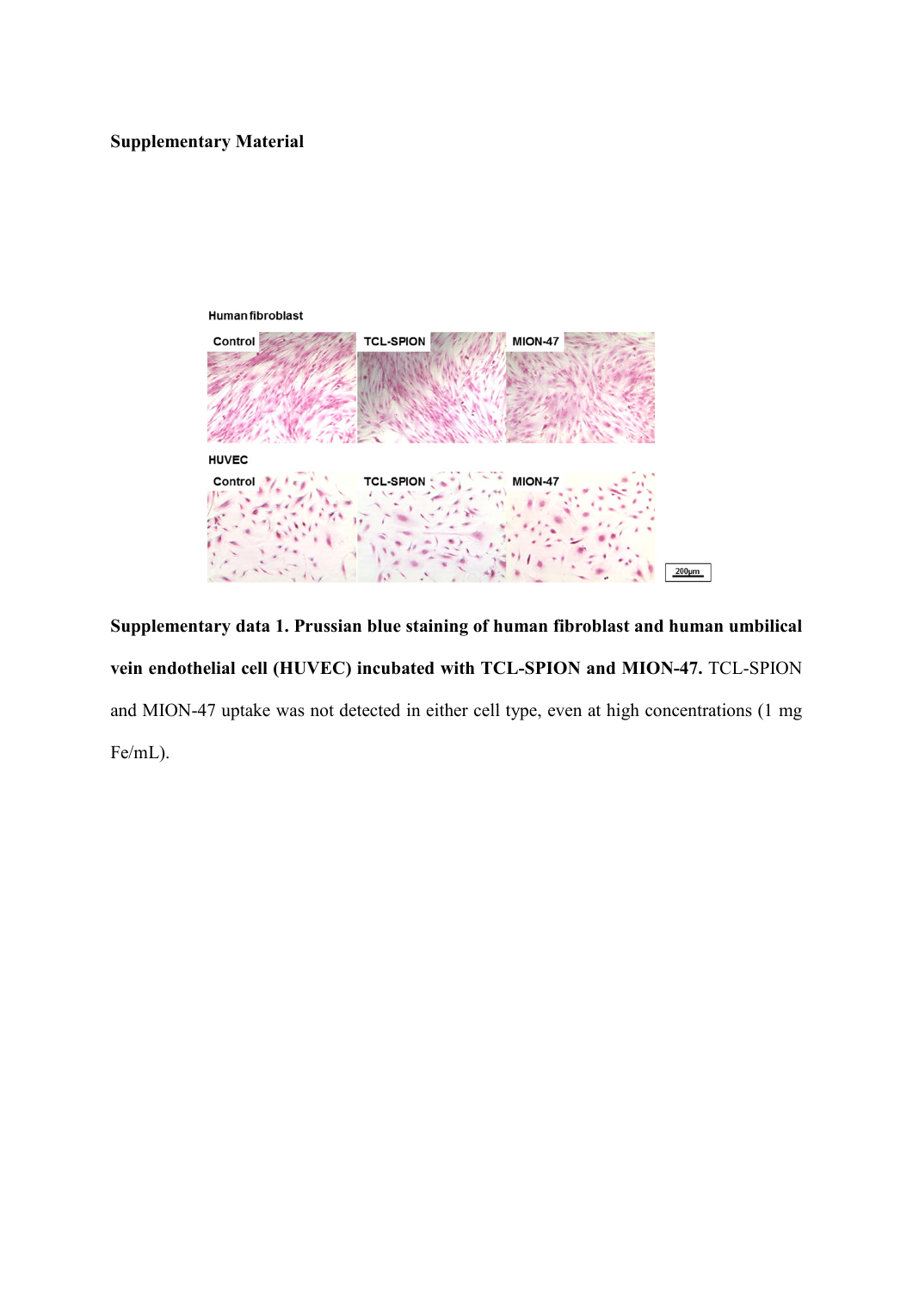## **Supplementary Material**



**Supplementary data 1. Prussian blue staining of human fibroblast and human umbilical vein endothelial cell (HUVEC) incubated with TCL-SPION and MION-47.** TCL-SPION and MION-47 uptake was not detected in either cell type, even at high concentrations (1 mg Fe/mL).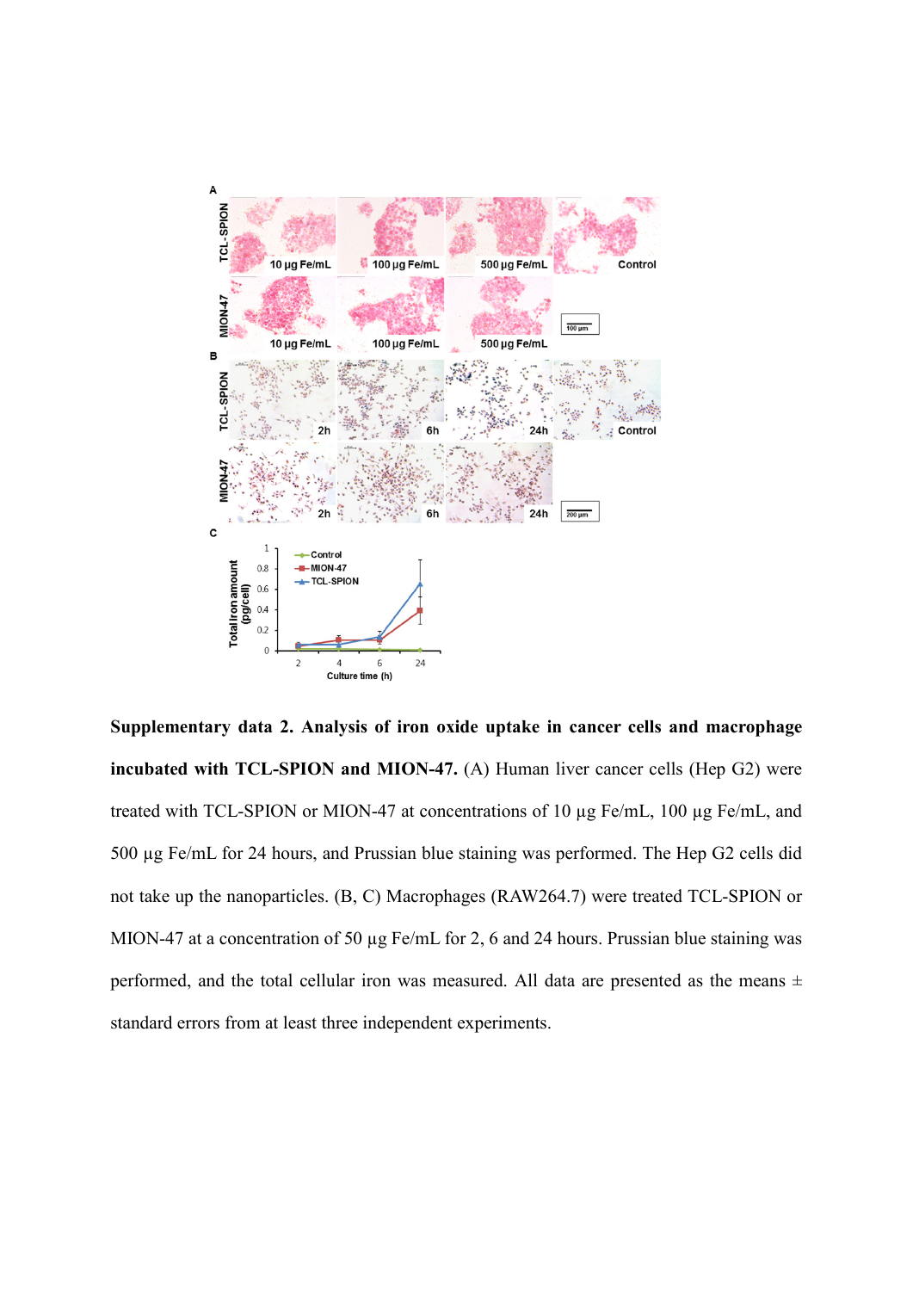

**Supplementary data 2. Analysis of iron oxide uptake in cancer cells and macrophage incubated with TCL-SPION and MION-47.** (A) Human liver cancer cells (Hep G2) were treated with TCL-SPION or MION-47 at concentrations of 10 µg Fe/mL, 100 µg Fe/mL, and 500 µg Fe/mL for 24 hours, and Prussian blue staining was performed. The Hep G2 cells did not take up the nanoparticles. (B, C) Macrophages (RAW264.7) were treated TCL-SPION or MION-47 at a concentration of 50 µg Fe/mL for 2, 6 and 24 hours. Prussian blue staining was performed, and the total cellular iron was measured. All data are presented as the means  $\pm$ standard errors from at least three independent experiments.